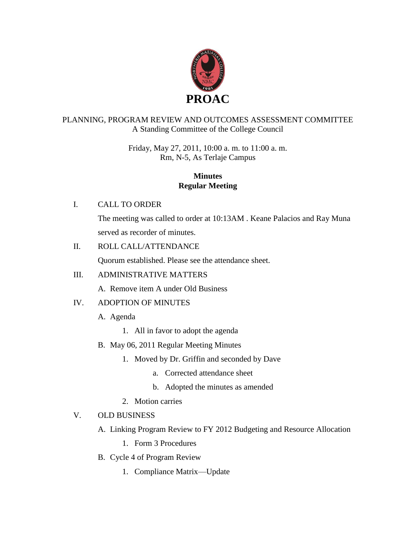

### PLANNING, PROGRAM REVIEW AND OUTCOMES ASSESSMENT COMMITTEE A Standing Committee of the College Council

Friday, May 27, 2011, 10:00 a. m. to 11:00 a. m. Rm, N-5, As Terlaje Campus

#### **Minutes Regular Meeting**

### I. CALL TO ORDER

The meeting was called to order at 10:13AM . Keane Palacios and Ray Muna served as recorder of minutes.

### II. ROLL CALL/ATTENDANCE

Quorum established. Please see the attendance sheet.

## III. ADMINISTRATIVE MATTERS

A. Remove item A under Old Business

## IV. ADOPTION OF MINUTES

A. Agenda

- 1. All in favor to adopt the agenda
- B. May 06, 2011 Regular Meeting Minutes
	- 1. Moved by Dr. Griffin and seconded by Dave
		- a. Corrected attendance sheet
		- b. Adopted the minutes as amended
	- 2. Motion carries

## V. OLD BUSINESS

- A. Linking Program Review to FY 2012 Budgeting and Resource Allocation
	- 1. Form 3 Procedures
- B. Cycle 4 of Program Review
	- 1. Compliance Matrix—Update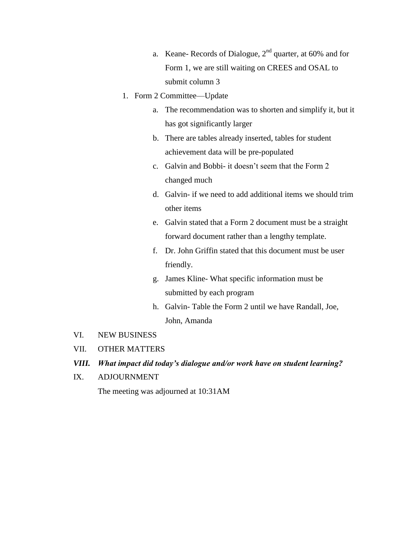- a. Keane- Records of Dialogue,  $2<sup>nd</sup>$  quarter, at 60% and for Form 1, we are still waiting on CREES and OSAL to submit column 3
- 1. Form 2 Committee—Update
	- a. The recommendation was to shorten and simplify it, but it has got significantly larger
	- b. There are tables already inserted, tables for student achievement data will be pre-populated
	- c. Galvin and Bobbi- it doesn't seem that the Form 2 changed much
	- d. Galvin- if we need to add additional items we should trim other items
	- e. Galvin stated that a Form 2 document must be a straight forward document rather than a lengthy template.
	- f. Dr. John Griffin stated that this document must be user friendly.
	- g. James Kline- What specific information must be submitted by each program
	- h. Galvin- Table the Form 2 until we have Randall, Joe, John, Amanda
- VI. NEW BUSINESS
- VII. OTHER MATTERS
- *VIII. What impact did today's dialogue and/or work have on student learning?*
- IX. ADJOURNMENT

The meeting was adjourned at 10:31AM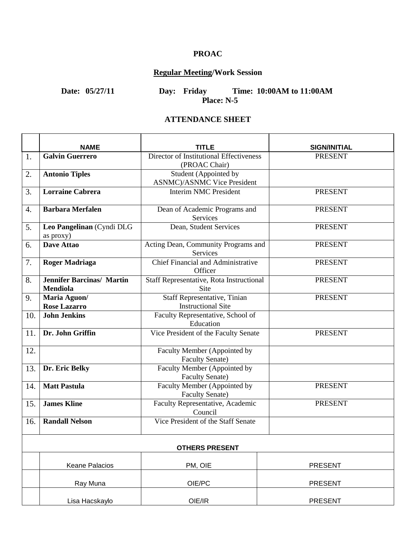## **PROAC**

# **Regular Meeting/Work Session**

**Date: 05/27/11 Day: Friday Time: 10:00AM to 11:00AM Place: N-5**

#### **ATTENDANCE SHEET**

|     | <b>NAME</b>                            | TITLE                                    |                                       |
|-----|----------------------------------------|------------------------------------------|---------------------------------------|
| 1.  | <b>Galvin Guerrero</b>                 | Director of Institutional Effectiveness  | <b>SIGN/INITIAL</b><br><b>PRESENT</b> |
|     |                                        | (PROAC Chair)                            |                                       |
| 2.  | <b>Antonio Tiples</b>                  | Student (Appointed by                    |                                       |
|     |                                        | <b>ASNMC</b> )/ASNMC Vice President      |                                       |
| 3.  | <b>Lorraine Cabrera</b>                | <b>Interim NMC President</b>             | <b>PRESENT</b>                        |
| 4.  | <b>Barbara Merfalen</b>                | Dean of Academic Programs and            | <b>PRESENT</b>                        |
|     |                                        | Services                                 |                                       |
| 5.  | Leo Pangelinan (Cyndi DLG<br>as proxy) | Dean, Student Services                   | <b>PRESENT</b>                        |
| 6.  | <b>Dave Attao</b>                      | Acting Dean, Community Programs and      | <b>PRESENT</b>                        |
|     |                                        | Services                                 |                                       |
| 7.  | <b>Roger Madriaga</b>                  | Chief Financial and Administrative       | <b>PRESENT</b>                        |
|     |                                        | Officer                                  |                                       |
| 8.  | <b>Jennifer Barcinas/ Martin</b>       | Staff Representative, Rota Instructional | <b>PRESENT</b>                        |
|     | <b>Mendiola</b>                        | <b>Site</b>                              |                                       |
| 9.  | Maria Aguon/                           | Staff Representative, Tinian             | <b>PRESENT</b>                        |
|     | <b>Rose Lazarro</b>                    | <b>Instructional Site</b>                |                                       |
| 10. | <b>John Jenkins</b>                    | Faculty Representative, School of        |                                       |
|     |                                        | Education                                |                                       |
| 11. | Dr. John Griffin                       | Vice President of the Faculty Senate     | <b>PRESENT</b>                        |
| 12. |                                        | Faculty Member (Appointed by             |                                       |
|     |                                        | <b>Faculty Senate)</b>                   |                                       |
| 13. | Dr. Eric Belky                         | Faculty Member (Appointed by             |                                       |
|     |                                        | <b>Faculty Senate)</b>                   |                                       |
| 14. | <b>Matt Pastula</b>                    | Faculty Member (Appointed by             | <b>PRESENT</b>                        |
|     |                                        | <b>Faculty Senate)</b>                   |                                       |
| 15. | <b>James Kline</b>                     | Faculty Representative, Academic         | <b>PRESENT</b>                        |
|     |                                        | Council                                  |                                       |
| 16. | <b>Randall Nelson</b>                  | Vice President of the Staff Senate       |                                       |
|     |                                        |                                          |                                       |
|     |                                        | <b>OTHERS PRESENT</b>                    |                                       |
|     | <b>Keane Palacios</b>                  | PM, OIE                                  | <b>PRESENT</b>                        |
|     |                                        |                                          |                                       |
|     | Ray Muna                               | OIE/PC                                   | <b>PRESENT</b>                        |
|     | Lisa Hacskaylo                         | OIE/IR                                   | <b>PRESENT</b>                        |